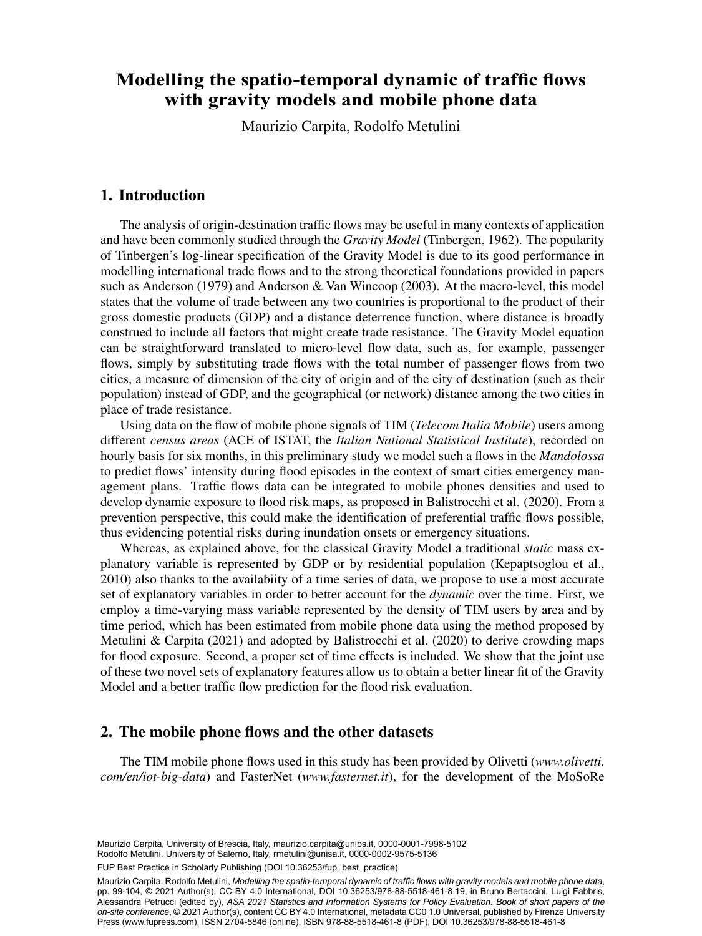# e spatio temperal dynamic et Modelling the spatio-temporal dynamic of traffic flows with gravity models and mobile phone data

<sup>b</sup> Department of Economics and Statistics (DISES) - University of Salerno, Maurizio Carpita, Rodolfo Metulini

### 1. Introduction

The analysis of origin-destination traffic flows may be useful in many contexts of application and have been commonly studied through the *Gravity Model* (Tinbergen, 1962). The popularity of Tinbergen's log-linear specification of the Gravity Model is due to its good performance in modelling international trade flows and to the strong theoretical foundations provided in papers such as Anderson (1979) and Anderson & Van Wincoop (2003). At the macro-level, this model states that the volume of trade between any two countries is proportional to the product of their gross domestic products (GDP) and a distance deterrence function, where distance is broadly construed to include all factors that might create trade resistance. The Gravity Model equation can be straightforward translated to micro-level flow data, such as, for example, passenger flows, simply by substituting trade flows with the total number of passenger flows from two cities, a measure of dimension of the city of origin and of the city of destination (such as their population) instead of GDP, and the geographical (or network) distance among the two cities in place of trade resistance.

Using data on the flow of mobile phone signals of TIM (*Telecom Italia Mobile*) users among different *census areas* (ACE of ISTAT, the *Italian National Statistical Institute*), recorded on hourly basis for six months, in this preliminary study we model such a flows in the *Mandolossa* to predict flows' intensity during flood episodes in the context of smart cities emergency management plans. Traffic flows data can be integrated to mobile phones densities and used to develop dynamic exposure to flood risk maps, as proposed in Balistrocchi et al. (2020). From a prevention perspective, this could make the identification of preferential traffic flows possible, thus evidencing potential risks during inundation onsets or emergency situations.

Whereas, as explained above, for the classical Gravity Model a traditional *static* mass explanatory variable is represented by GDP or by residential population (Kepaptsoglou et al., 2010) also thanks to the availabiity of a time series of data, we propose to use a most accurate set of explanatory variables in order to better account for the *dynamic* over the time. First, we employ a time-varying mass variable represented by the density of TIM users by area and by time period, which has been estimated from mobile phone data using the method proposed by Metulini  $\&$  Carpita (2021) and adopted by Balistrocchi et al. (2020) to derive crowding maps for flood exposure. Second, a proper set of time effects is included. We show that the joint use of these two novel sets of explanatory features allow us to obtain a better linear fit of the Gravity Model and a better traffic flow prediction for the flood risk evaluation.

# 2. The mobile phone flows and the other datasets

The TIM mobile phone flows used in this study has been provided by Olivetti (*www.olivetti. com/en/iot-big-data*) and FasterNet (*www.fasternet.it*), for the development of the MoSoRe

Maurizio Carpita, University of Brescia, Italy, [maurizio.carpita@unibs.it,](mailto:maurizio.carpita@unibs.it) [0000-0001-7998-5102](https://orcid.org/0000-0001-7998-5102) Rodolfo Metulini, University of Salerno, Italy, [rmetulini@unisa.it](mailto:rmetulini@unisa.it), [0000-0002-9575-5136](https://orcid.org/0000-0002-9575-5136)

FUP Best Practice in Scholarly Publishing (DOI [10.36253/fup\\_best\\_practice](https://doi.org/10.36253/fup_best_practice))

Maurizio Carpita, Rodolfo Metulini, *Modelling the spatio-temporal dynamic of traffic flows with gravity models and mobile phone data*, pp. 99-104, © 2021 Author(s), [CC BY 4.0 International](http://creativecommons.org/licenses/by/4.0/legalcode), DOI [10.36253/978-88-5518-461-8.19](https://doi.org/10.36253/978-88-5518-461-8.19), in Bruno Bertaccini, Luigi Fabbris, Alessandra Petrucci (edited by), *ASA 2021 Statistics and Information Systems for Policy Evaluation. Book of short papers of the on-site conference*, © 2021 Author(s), content [CC BY 4.0 International,](http://creativecommons.org/licenses/by/4.0/legalcode) metadata [CC0 1.0 Universal](https://creativecommons.org/publicdomain/zero/1.0/legalcode), published by Firenze University Press [\(www.fupress.com\)](http://www.fupress.com), ISSN 2704-5846 (online), ISBN 978-88-5518-461-8 (PDF), DOI [10.36253/978-88-5518-461-8](https://doi.org/10.36253/978-88-5518-461-8)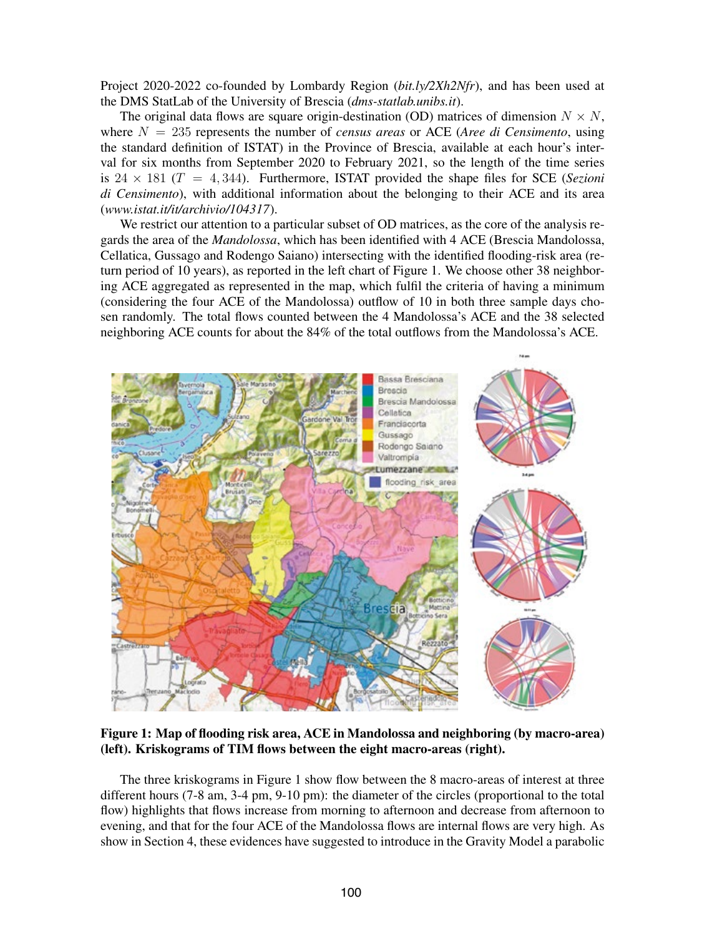Project 2020-2022 co-founded by Lombardy Region (*bit.ly/2Xh2Nfr*), and has been used at the DMS StatLab of the University of Brescia (*dms-statlab.unibs.it*).

The original data flows are square origin-destination (OD) matrices of dimension  $N \times N$ , where  $N = 235$  represents the number of *census areas* or ACE (*Aree di Censimento*, using the standard definition of ISTAT) in the Province of Brescia, available at each hour's interval for six months from September 2020 to February 2021, so the length of the time series is  $24 \times 181$  ( $T = 4,344$ ). Furthermore, ISTAT provided the shape files for SCE (*Sezioni di Censimento*), with additional information about the belonging to their ACE and its area (*www.istat.it/it/archivio/104317*).

We restrict our attention to a particular subset of OD matrices, as the core of the analysis regards the area of the *Mandolossa*, which has been identified with 4 ACE (Brescia Mandolossa, Cellatica, Gussago and Rodengo Saiano) intersecting with the identified flooding-risk area (return period of 10 years), as reported in the left chart of Figure 1. We choose other 38 neighboring ACE aggregated as represented in the map, which fulfil the criteria of having a minimum (considering the four ACE of the Mandolossa) outflow of 10 in both three sample days chosen randomly. The total flows counted between the 4 Mandolossa's ACE and the 38 selected neighboring ACE counts for about the 84% of the total outflows from the Mandolossa's ACE.



Figure 1: Map of flooding risk area, ACE in Mandolossa and neighboring (by macro-area) (left). Kriskograms of TIM flows between the eight macro-areas (right).

The three kriskograms in Figure 1 show flow between the 8 macro-areas of interest at three different hours (7-8 am, 3-4 pm, 9-10 pm): the diameter of the circles (proportional to the total flow) highlights that flows increase from morning to afternoon and decrease from afternoon to evening, and that for the four ACE of the Mandolossa flows are internal flows are very high. As show in Section 4, these evidences have suggested to introduce in the Gravity Model a parabolic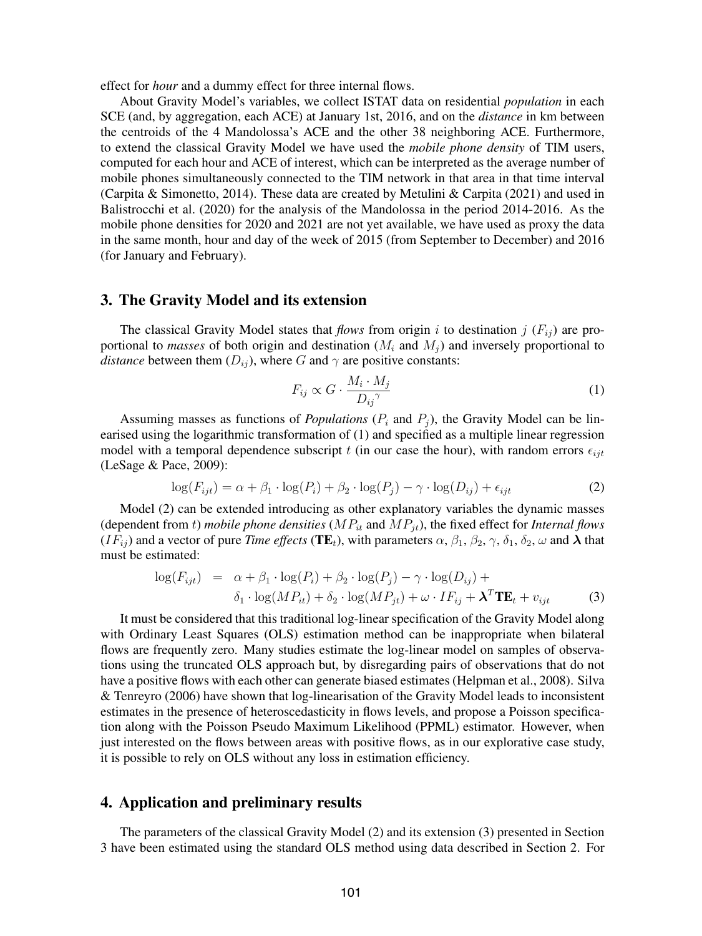effect for *hour* and a dummy effect for three internal flows.

About Gravity Model's variables, we collect ISTAT data on residential *population* in each SCE (and, by aggregation, each ACE) at January 1st, 2016, and on the *distance* in km between the centroids of the 4 Mandolossa's ACE and the other 38 neighboring ACE. Furthermore, to extend the classical Gravity Model we have used the *mobile phone density* of TIM users, computed for each hour and ACE of interest, which can be interpreted as the average number of mobile phones simultaneously connected to the TIM network in that area in that time interval (Carpita & Simonetto, 2014). These data are created by Metulini & Carpita (2021) and used in Balistrocchi et al. (2020) for the analysis of the Mandolossa in the period 2014-2016. As the mobile phone densities for 2020 and 2021 are not yet available, we have used as proxy the data in the same month, hour and day of the week of 2015 (from September to December) and 2016 (for January and February).

# 3. The Gravity Model and its extension

The classical Gravity Model states that *flows* from origin i to destination j  $(F_{ij})$  are proportional to *masses* of both origin and destination  $(M<sub>i</sub>$  and  $M<sub>j</sub>)$  and inversely proportional to *distance* between them  $(D_{ij})$ , where G and  $\gamma$  are positive constants:

$$
F_{ij} \propto G \cdot \frac{M_i \cdot M_j}{D_{ij}^{\gamma}}
$$
 (1)

Assuming masses as functions of *Populations* ( $P_i$  and  $P_j$ ), the Gravity Model can be linearised using the logarithmic transformation of (1) and specified as a multiple linear regression model with a temporal dependence subscript t (in our case the hour), with random errors  $\epsilon_{i j t}$ (LeSage & Pace, 2009):

$$
\log(F_{ijt}) = \alpha + \beta_1 \cdot \log(P_i) + \beta_2 \cdot \log(P_j) - \gamma \cdot \log(D_{ij}) + \epsilon_{ijt}
$$
 (2)

Model (2) can be extended introducing as other explanatory variables the dynamic masses (dependent from t) *mobile phone densities*  $(MP_{it}$  and  $MP_{it}$ ), the fixed effect for *Internal flows*  $(IF_{ij})$  and a vector of pure *Time effects* (TE<sub>t</sub>), with parameters  $\alpha$ ,  $\beta_1$ ,  $\beta_2$ ,  $\gamma$ ,  $\delta_1$ ,  $\delta_2$ ,  $\omega$  and  $\lambda$  that must be estimated:

$$
\log(F_{ijt}) = \alpha + \beta_1 \cdot \log(P_i) + \beta_2 \cdot \log(P_j) - \gamma \cdot \log(D_{ij}) + \n\delta_1 \cdot \log(MP_{it}) + \delta_2 \cdot \log(MP_{jt}) + \omega \cdot IF_{ij} + \lambda^T TE_t + v_{ijt}
$$
\n(3)

It must be considered that this traditional log-linear specification of the Gravity Model along with Ordinary Least Squares (OLS) estimation method can be inappropriate when bilateral flows are frequently zero. Many studies estimate the log-linear model on samples of observations using the truncated OLS approach but, by disregarding pairs of observations that do not have a positive flows with each other can generate biased estimates (Helpman et al., 2008). Silva & Tenreyro (2006) have shown that log-linearisation of the Gravity Model leads to inconsistent estimates in the presence of heteroscedasticity in flows levels, and propose a Poisson specification along with the Poisson Pseudo Maximum Likelihood (PPML) estimator. However, when just interested on the flows between areas with positive flows, as in our explorative case study, it is possible to rely on OLS without any loss in estimation efficiency.

## 4. Application and preliminary results

The parameters of the classical Gravity Model (2) and its extension (3) presented in Section 3 have been estimated using the standard OLS method using data described in Section 2. For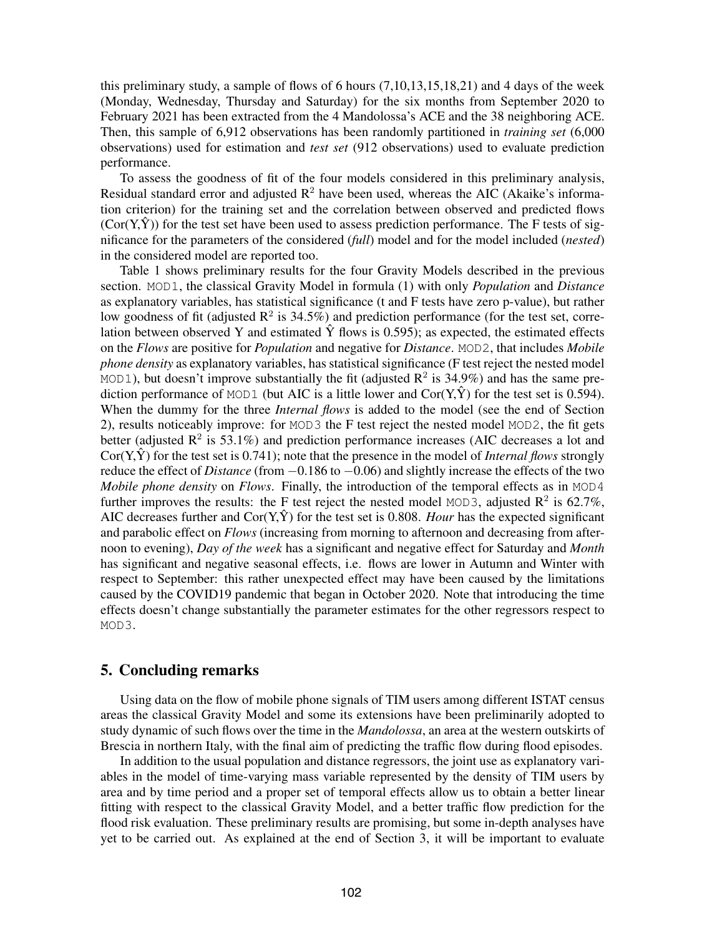this preliminary study, a sample of flows of 6 hours (7,10,13,15,18,21) and 4 days of the week (Monday, Wednesday, Thursday and Saturday) for the six months from September 2020 to February 2021 has been extracted from the 4 Mandolossa's ACE and the 38 neighboring ACE. Then, this sample of 6,912 observations has been randomly partitioned in *training set* (6,000 observations) used for estimation and *test set* (912 observations) used to evaluate prediction performance.

To assess the goodness of fit of the four models considered in this preliminary analysis, Residual standard error and adjusted  $R^2$  have been used, whereas the AIC (Akaike's information criterion) for the training set and the correlation between observed and predicted flows  $(Cor(Y, \hat{Y}))$  for the test set have been used to assess prediction performance. The F tests of significance for the parameters of the considered (*full*) model and for the model included (*nested*) in the considered model are reported too.

Table 1 shows preliminary results for the four Gravity Models described in the previous section. MOD1, the classical Gravity Model in formula (1) with only *Population* and *Distance* as explanatory variables, has statistical significance (t and F tests have zero p-value), but rather low goodness of fit (adjusted  $\mathbb{R}^2$  is 34.5%) and prediction performance (for the test set, correlation between observed Y and estimated  $\hat{Y}$  flows is 0.595); as expected, the estimated effects on the *Flows* are positive for *Population* and negative for *Distance*. MOD2, that includes *Mobile phone density* as explanatory variables, has statistical significance (F test reject the nested model MOD1), but doesn't improve substantially the fit (adjusted  $\mathbb{R}^2$  is 34.9%) and has the same prediction performance of MOD1 (but AIC is a little lower and  $Cor(Y, \hat{Y})$  for the test set is 0.594). When the dummy for the three *Internal flows* is added to the model (see the end of Section 2), results noticeably improve: for MOD3 the F test reject the nested model MOD2, the fit gets better (adjusted  $\mathbb{R}^2$  is 53.1%) and prediction performance increases (AIC decreases a lot and Cor( $Y, \hat{Y}$ ) for the test set is 0.741); note that the presence in the model of *Internal flows* strongly reduce the effect of *Distance* (from −0.186 to −0.06) and slightly increase the effects of the two *Mobile phone density* on *Flows*. Finally, the introduction of the temporal effects as in MOD4 further improves the results: the F test reject the nested model MOD3, adjusted  $\mathbb{R}^2$  is 62.7%, AIC decreases further and  $Cor(Y, \hat{Y})$  for the test set is 0.808. *Hour* has the expected significant and parabolic effect on *Flows* (increasing from morning to afternoon and decreasing from afternoon to evening), *Day of the week* has a significant and negative effect for Saturday and *Month* has significant and negative seasonal effects, i.e. flows are lower in Autumn and Winter with respect to September: this rather unexpected effect may have been caused by the limitations caused by the COVID19 pandemic that began in October 2020. Note that introducing the time effects doesn't change substantially the parameter estimates for the other regressors respect to MOD3.

#### 5. Concluding remarks

Using data on the flow of mobile phone signals of TIM users among different ISTAT census areas the classical Gravity Model and some its extensions have been preliminarily adopted to study dynamic of such flows over the time in the *Mandolossa*, an area at the western outskirts of Brescia in northern Italy, with the final aim of predicting the traffic flow during flood episodes.

In addition to the usual population and distance regressors, the joint use as explanatory variables in the model of time-varying mass variable represented by the density of TIM users by area and by time period and a proper set of temporal effects allow us to obtain a better linear fitting with respect to the classical Gravity Model, and a better traffic flow prediction for the flood risk evaluation. These preliminary results are promising, but some in-depth analyses have yet to be carried out. As explained at the end of Section 3, it will be important to evaluate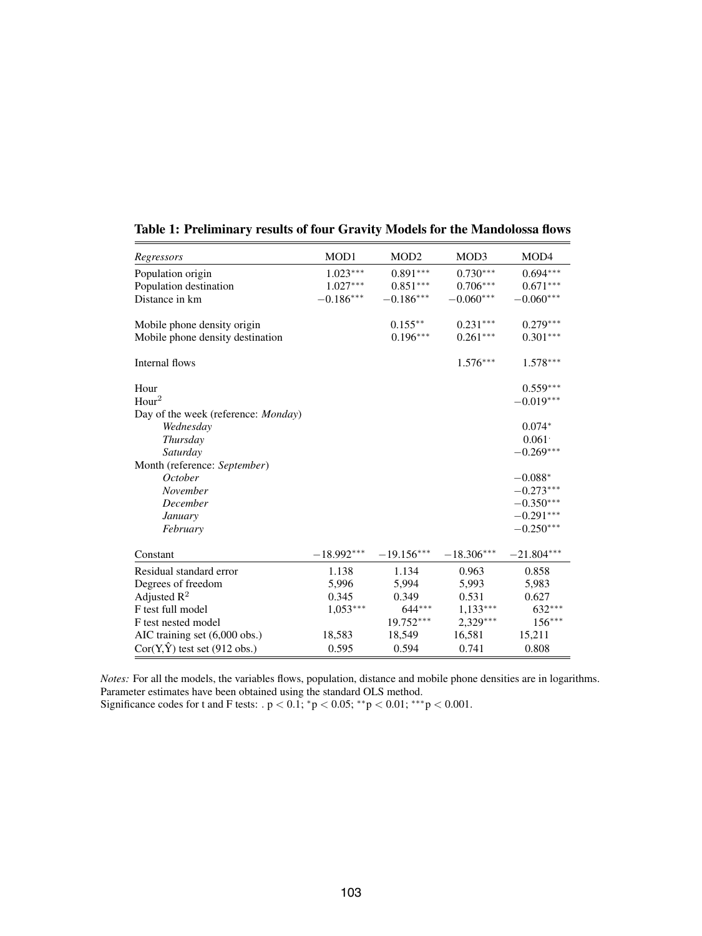| Regressors                                  | MOD1         | MOD <sub>2</sub> | MOD3         | MOD4         |
|---------------------------------------------|--------------|------------------|--------------|--------------|
| Population origin                           | $1.023***$   | $0.891***$       | $0.730***$   | $0.694***$   |
| Population destination                      | $1.027***$   | $0.851***$       | $0.706***$   | $0.671***$   |
| Distance in km                              | $-0.186***$  | $-0.186***$      | $-0.060***$  | $-0.060***$  |
|                                             |              |                  |              |              |
| Mobile phone density origin                 |              | $0.155***$       | $0.231***$   | $0.279***$   |
| Mobile phone density destination            |              | $0.196***$       | $0.261***$   | $0.301***$   |
| Internal flows                              |              |                  | $1.576***$   | $1.578***$   |
|                                             |              |                  |              |              |
| Hour                                        |              |                  |              | $0.559***$   |
| Hour <sup>2</sup>                           |              |                  |              | $-0.019***$  |
| Day of the week (reference: <i>Monday</i> ) |              |                  |              |              |
| Wednesday                                   |              |                  |              | $0.074*$     |
| Thursday                                    |              |                  |              | 0.061        |
| Saturday                                    |              |                  |              | $-0.269***$  |
| Month (reference: September)                |              |                  |              |              |
| <i>October</i>                              |              |                  |              | $-0.088*$    |
| November                                    |              |                  |              | $-0.273***$  |
| December                                    |              |                  |              | $-0.350***$  |
| January                                     |              |                  |              | $-0.291***$  |
| February                                    |              |                  |              | $-0.250***$  |
|                                             |              |                  |              |              |
| Constant                                    | $-18.992***$ | $-19.156***$     | $-18.306***$ | $-21.804***$ |
| Residual standard error                     | 1.138        | 1.134            | 0.963        | 0.858        |
| Degrees of freedom                          | 5,996        | 5,994            | 5,993        | 5,983        |
| Adjusted $R^2$                              | 0.345        | 0.349            | 0.531        | 0.627        |
| F test full model                           | $1,053***$   | $644***$         | $1,133***$   | $632***$     |
| F test nested model                         |              | 19.752***        | $2,329***$   | $156***$     |
| AIC training set (6,000 obs.)               | 18,583       | 18,549           | 16,581       | 15,211       |
| $Cor(Y, \hat{Y})$ test set (912 obs.)       | 0.595        | 0.594            | 0.741        | 0.808        |

#### Table 1: Preliminary results of four Gravity Models for the Mandolossa flows

*Notes:* For all the models, the variables flows, population, distance and mobile phone densities are in logarithms. Parameter estimates have been obtained using the standard OLS method. Significance codes for t and F tests:  $p < 0.1$ ; \* $p < 0.05$ ; \*\* $p < 0.01$ ; \*\*\* $p < 0.001$ .